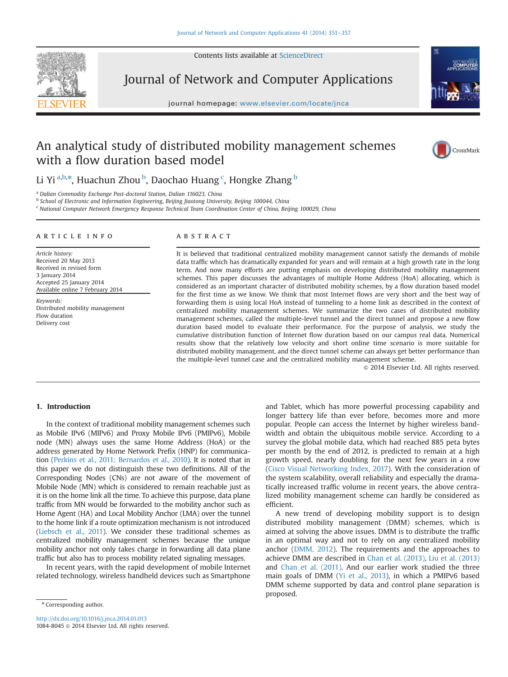

Contents lists available at [ScienceDirect](www.sciencedirect.com/science/journal/10848045)

## Journal of Network and Computer Applications

journal homepage: <www.elsevier.com/locate/jnca>te/jncate/jncate/jncate/jncate/jncate/jncate/jncate/jncate/jncate/jncate/jncate/jncate/jncate/jncate/jncate/jncate/jncate/jncate/jncate/jncate/jncate/jncate/jncate/jncate/jnca



## An analytical study of distributed mobility management schemes with a flow duration based model



Li Yi <sup>a,b,</sup>\*, Huachun Zhou <sup>b</sup>, Daochao Huang <sup>c</sup>, Hongke Zhang <sup>b</sup>

<sup>a</sup> Dalian Commodity Exchange Post-doctoral Station, Dalian 116023, China

b School of Electronic and Information Engineering, Beijing Jiaotong University, Beijing 100044, China

<sup>c</sup> National Computer Network Emergency Response Technical Team Coordination Center of China, Beijing 100029, China

#### article info

Article history: Received 20 May 2013 Received in revised form 3 January 2014 Accepted 25 January 2014 Available online 7 February 2014

Keywords: Distributed mobility management Flow duration Delivery cost

#### **ABSTRACT**

It is believed that traditional centralized mobility management cannot satisfy the demands of mobile data traffic which has dramatically expanded for years and will remain at a high growth rate in the long term. And now many efforts are putting emphasis on developing distributed mobility management schemes. This paper discusses the advantages of multiple Home Address (HoA) allocating, which is considered as an important character of distributed mobility schemes, by a flow duration based model for the first time as we know. We think that most Internet flows are very short and the best way of forwarding them is using local HoA instead of tunneling to a home link as described in the context of centralized mobility management schemes. We summarize the two cases of distributed mobility management schemes, called the multiple-level tunnel and the direct tunnel and propose a new flow duration based model to evaluate their performance. For the purpose of analysis, we study the cumulative distribution function of Internet flow duration based on our campus real data. Numerical results show that the relatively low velocity and short online time scenario is more suitable for distributed mobility management, and the direct tunnel scheme can always get better performance than the multiple-level tunnel case and the centralized mobility management scheme.

 $\odot$  2014 Elsevier Ltd. All rights reserved.

### 1. Introduction

In the context of traditional mobility management schemes such as Mobile IPv6 (MIPv6) and Proxy Mobile IPv6 (PMIPv6), Mobile node (MN) always uses the same Home Address (HoA) or the address generated by Home Network Prefix (HNP) for communication [\(Perkins et al., 2011; Bernardos et al., 2010\)](#page--1-0). It is noted that in this paper we do not distinguish these two definitions. All of the Corresponding Nodes (CNs) are not aware of the movement of Mobile Node (MN) which is considered to remain reachable just as it is on the home link all the time. To achieve this purpose, data plane traffic from MN would be forwarded to the mobility anchor such as Home Agent (HA) and Local Mobility Anchor (LMA) over the tunnel to the home link if a route optimization mechanism is not introduced [\(Liebsch et al., 2011\)](#page--1-0). We consider these traditional schemes as centralized mobility management schemes because the unique mobility anchor not only takes charge in forwarding all data plane traffic but also has to process mobility related signaling messages.

In recent years, with the rapid development of mobile Internet related technology, wireless handheld devices such as Smartphone

<http://dx.doi.org/10.1016/j.jnca.2014.01.013> 1084-8045 & 2014 Elsevier Ltd. All rights reserved. and Tablet, which has more powerful processing capability and longer battery life than ever before, becomes more and more popular. People can access the Internet by higher wireless bandwidth and obtain the ubiquitous mobile service. According to a survey the global mobile data, which had reached 885 peta bytes per month by the end of 2012, is predicted to remain at a high growth speed, nearly doubling for the next few years in a row ([Cisco Visual Networking Index, 2017](#page--1-0)). With the consideration of the system scalability, overall reliability and especially the dramatically increased traffic volume in recent years, the above centralized mobility management scheme can hardly be considered as efficient.

A new trend of developing mobility support is to design distributed mobility management (DMM) schemes, which is aimed at solving the above issues. DMM is to distribute the traffic in an optimal way and not to rely on any centralized mobility anchor ([DMM, 2012\)](#page--1-0). The requirements and the approaches to achieve DMM are described in [Chan et al. \(2013\)](#page--1-0), [Liu et al. \(2013\)](#page--1-0) and [Chan et al. \(2011\)](#page--1-0). And our earlier work studied the three main goals of DMM [\(Yi et al., 2013\)](#page--1-0), in which a PMIPv6 based DMM scheme supported by data and control plane separation is proposed.

<sup>\*</sup> Corresponding author.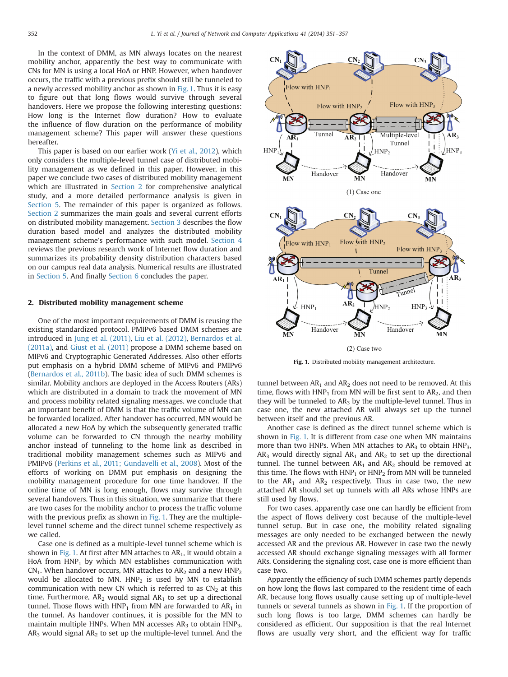In the context of DMM, as MN always locates on the nearest mobility anchor, apparently the best way to communicate with CNs for MN is using a local HoA or HNP. However, when handover occurs, the traffic with a previous prefix should still be tunneled to a newly accessed mobility anchor as shown in Fig. 1. Thus it is easy to figure out that long flows would survive through several handovers. Here we propose the following interesting questions: How long is the Internet flow duration? How to evaluate the influence of flow duration on the performance of mobility management scheme? This paper will answer these questions hereafter.

This paper is based on our earlier work ([Yi et al., 2012\)](#page--1-0), which only considers the multiple-level tunnel case of distributed mobility management as we defined in this paper. However, in this paper we conclude two cases of distributed mobility management which are illustrated in Section 2 for comprehensive analytical study, and a more detailed performance analysis is given in [Section 5](#page--1-0). The remainder of this paper is organized as follows. Section 2 summarizes the main goals and several current efforts on distributed mobility management. [Section 3](#page--1-0) describes the flow duration based model and analyzes the distributed mobility management scheme's performance with such model. [Section 4](#page--1-0) reviews the previous research work of Internet flow duration and summarizes its probability density distribution characters based on our campus real data analysis. Numerical results are illustrated in [Section 5](#page--1-0). And finally [Section 6](#page--1-0) concludes the paper.

#### 2. Distributed mobility management scheme

One of the most important requirements of DMM is reusing the existing standardized protocol. PMIPv6 based DMM schemes are introduced in [Jung et al. \(2011\)](#page--1-0), [Liu et al. \(2012\),](#page--1-0) [Bernardos et al.](#page--1-0) [\(2011a\),](#page--1-0) and [Giust et al. \(2011\)](#page--1-0) propose a DMM scheme based on MIPv6 and Cryptographic Generated Addresses. Also other efforts put emphasis on a hybrid DMM scheme of MIPv6 and PMIPv6 ([Bernardos et al., 2011b\)](#page--1-0). The basic idea of such DMM schemes is similar. Mobility anchors are deployed in the Access Routers (ARs) which are distributed in a domain to track the movement of MN and process mobility related signaling messages. we conclude that an important benefit of DMM is that the traffic volume of MN can be forwarded localized. After handover has occurred, MN would be allocated a new HoA by which the subsequently generated traffic volume can be forwarded to CN through the nearby mobility anchor instead of tunneling to the home link as described in traditional mobility management schemes such as MIPv6 and PMIPv6 [\(Perkins et al., 2011; Gundavelli et al., 2008\)](#page--1-0). Most of the efforts of working on DMM put emphasis on designing the mobility management procedure for one time handover. If the online time of MN is long enough, flows may survive through several handovers. Thus in this situation, we summarize that there are two cases for the mobility anchor to process the traffic volume with the previous prefix as shown in Fig. 1. They are the multiplelevel tunnel scheme and the direct tunnel scheme respectively as we called.

Case one is defined as a multiple-level tunnel scheme which is shown in Fig. 1. At first after MN attaches to  $AR<sub>1</sub>$ , it would obtain a HoA from  $HNP_1$  by which MN establishes communication with  $CN_1$ . When handover occurs, MN attaches to  $AR_2$  and a new  $HNP_2$ would be allocated to MN.  $HNP<sub>2</sub>$  is used by MN to establish communication with new CN which is referred to as  $CN<sub>2</sub>$  at this time. Furthermore,  $AR_2$  would signal  $AR_1$  to set up a directional tunnel. Those flows with  $HNP<sub>1</sub>$  from MN are forwarded to  $AR<sub>1</sub>$  in the tunnel. As handover continues, it is possible for the MN to maintain multiple HNPs. When MN accesses  $AR<sub>3</sub>$  to obtain HNP<sub>3</sub>,  $AR<sub>3</sub>$  would signal  $AR<sub>2</sub>$  to set up the multiple-level tunnel. And the



Fig. 1. Distributed mobility management architecture.

tunnel between  $AR_1$  and  $AR_2$  does not need to be removed. At this time, flows with  $HNP<sub>1</sub>$  from MN will be first sent to  $AR<sub>2</sub>$ , and then they will be tunneled to  $AR<sub>3</sub>$  by the multiple-level tunnel. Thus in case one, the new attached AR will always set up the tunnel between itself and the previous AR.

Another case is defined as the direct tunnel scheme which is shown in Fig. 1. It is different from case one when MN maintains more than two HNPs. When MN attaches to  $AR<sub>3</sub>$  to obtain  $HNP<sub>3</sub>$ ,  $AR<sub>3</sub>$  would directly signal  $AR<sub>1</sub>$  and  $AR<sub>2</sub>$  to set up the directional tunnel. The tunnel between  $AR_1$  and  $AR_2$  should be removed at this time. The flows with  $HNP<sub>1</sub>$  or  $HNP<sub>2</sub>$  from MN will be tunneled to the  $AR_1$  and  $AR_2$  respectively. Thus in case two, the new attached AR should set up tunnels with all ARs whose HNPs are still used by flows.

For two cases, apparently case one can hardly be efficient from the aspect of flows delivery cost because of the multiple-level tunnel setup. But in case one, the mobility related signaling messages are only needed to be exchanged between the newly accessed AR and the previous AR. However in case two the newly accessed AR should exchange signaling messages with all former ARs. Considering the signaling cost, case one is more efficient than case two.

Apparently the efficiency of such DMM schemes partly depends on how long the flows last compared to the resident time of each AR, because long flows usually cause setting up of multiple-level tunnels or several tunnels as shown in Fig. 1. If the proportion of such long flows is too large, DMM schemes can hardly be considered as efficient. Our supposition is that the real Internet flows are usually very short, and the efficient way for traffic